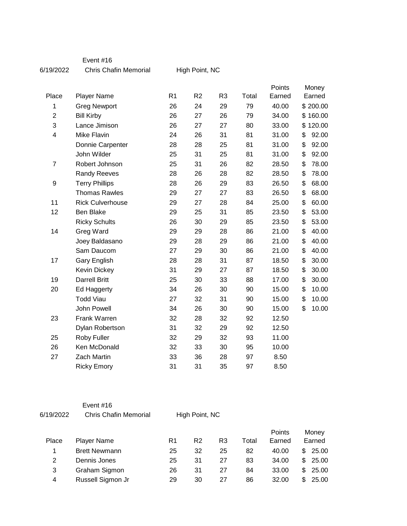Event #16

6/19/2022 Chris Chafin Memorial

High Point, NC

|                |                         |                |                |                |       | Points | Money    |       |
|----------------|-------------------------|----------------|----------------|----------------|-------|--------|----------|-------|
| Place          | <b>Player Name</b>      | R <sub>1</sub> | R <sub>2</sub> | R <sub>3</sub> | Total | Earned | Earned   |       |
| 1              | <b>Greg Newport</b>     | 26             | 24             | 29             | 79    | 40.00  | \$200.00 |       |
| $\overline{c}$ | <b>Bill Kirby</b>       | 26             | 27             | 26             | 79    | 34.00  | \$160.00 |       |
| 3              | Lance Jimison           | 26             | 27             | 27             | 80    | 33.00  | \$120.00 |       |
| 4              | Mike Flavin             | 24             | 26             | 31             | 81    | 31.00  | \$       | 92.00 |
|                | Donnie Carpenter        | 28             | 28             | 25             | 81    | 31.00  | \$       | 92.00 |
|                | John Wilder             | 25             | 31             | 25             | 81    | 31.00  | \$       | 92.00 |
| $\overline{7}$ | Robert Johnson          | 25             | 31             | 26             | 82    | 28.50  | \$       | 78.00 |
|                | Randy Reeves            | 28             | 26             | 28             | 82    | 28.50  | \$       | 78.00 |
| 9              | <b>Terry Phillips</b>   | 28             | 26             | 29             | 83    | 26.50  | \$       | 68.00 |
|                | <b>Thomas Rawles</b>    | 29             | 27             | 27             | 83    | 26.50  | \$       | 68.00 |
| 11             | <b>Rick Culverhouse</b> | 29             | 27             | 28             | 84    | 25.00  | \$       | 60.00 |
| 12             | Ben Blake               | 29             | 25             | 31             | 85    | 23.50  | \$       | 53.00 |
|                | <b>Ricky Schults</b>    | 26             | 30             | 29             | 85    | 23.50  | \$       | 53.00 |
| 14             | Greg Ward               | 29             | 29             | 28             | 86    | 21.00  | \$       | 40.00 |
|                | Joey Baldasano          | 29             | 28             | 29             | 86    | 21.00  | \$       | 40.00 |
|                | Sam Daucom              | 27             | 29             | 30             | 86    | 21.00  | \$       | 40.00 |
| 17             | Gary English            | 28             | 28             | 31             | 87    | 18.50  | \$       | 30.00 |
|                | Kevin Dickey            | 31             | 29             | 27             | 87    | 18.50  | \$       | 30.00 |
| 19             | <b>Darrell Britt</b>    | 25             | 30             | 33             | 88    | 17.00  | \$       | 30.00 |
| 20             | Ed Haggerty             | 34             | 26             | 30             | 90    | 15.00  | \$       | 10.00 |
|                | <b>Todd Viau</b>        | 27             | 32             | 31             | 90    | 15.00  | \$       | 10.00 |
|                | John Powell             | 34             | 26             | 30             | 90    | 15.00  | \$       | 10.00 |
| 23             | Frank Warren            | 32             | 28             | 32             | 92    | 12.50  |          |       |
|                | Dylan Robertson         | 31             | 32             | 29             | 92    | 12.50  |          |       |
| 25             | Roby Fuller             | 32             | 29             | 32             | 93    | 11.00  |          |       |
| 26             | Ken McDonald            | 32             | 33             | 30             | 95    | 10.00  |          |       |
| 27             | <b>Zach Martin</b>      | 33             | 36             | 28             | 97    | 8.50   |          |       |
|                | <b>Ricky Emory</b>      | 31             | 31             | 35             | 97    | 8.50   |          |       |

|           | Event #16             |                |
|-----------|-----------------------|----------------|
| 6/19/2022 | Chris Chafin Memorial | High Point, NC |

Place Player Name **R1 R2 R3** Total Points Earned Money Earned 1 Brett Newmann 25 32 25 82 40.00 \$ 25.00 2 Dennis Jones 25 31 27 83 34.00 \$ 25.00 3 Graham Sigmon 26 31 27 84 33.00 \$ 25.00 4 Russell Sigmon Jr 29 30 27 86 32.00 \$ 25.00